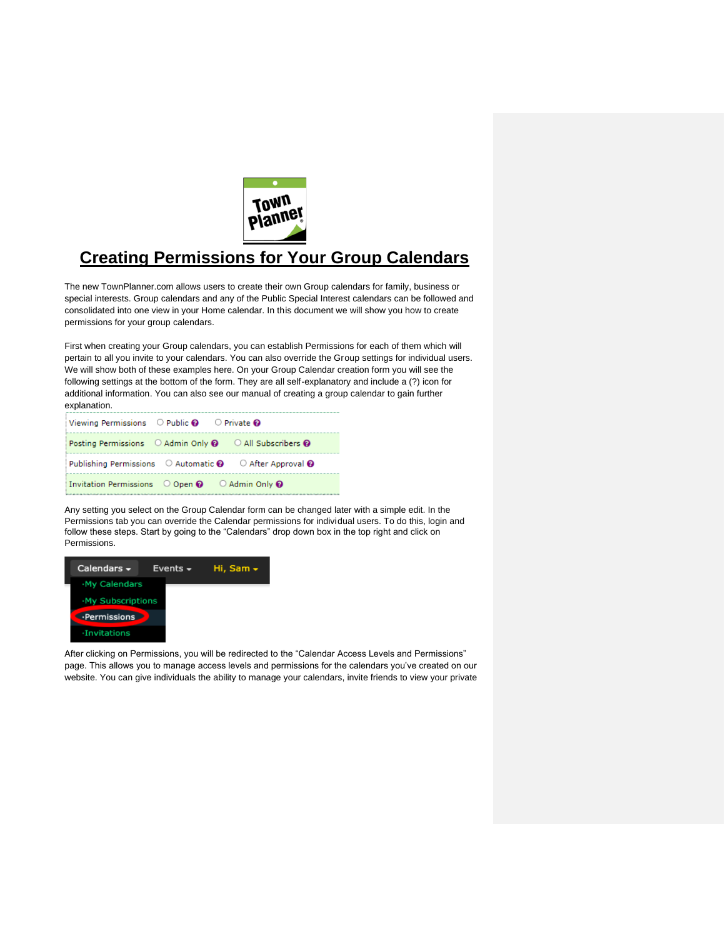

# **Creating Permissions for Your Group Calendars**

The new TownPlanner.com allows users to create their own Group calendars for family, business or special interests. Group calendars and any of the Public Special Interest calendars can be followed and consolidated into one view in your Home calendar. In this document we will show you how to create permissions for your group calendars.

First when creating your Group calendars, you can establish Permissions for each of them which will pertain to all you invite to your calendars. You can also override the Group settings for individual users. We will show both of these examples here. On your Group Calendar creation form you will see the following settings at the bottom of the form. They are all self-explanatory and include a (?) icon for additional information. You can also see our manual of creating a group calendar to gain further explanation.

| Viewing Permissions $\bigcirc$ Public $\bigcirc$ $\bigcirc$ Private $\bigcirc$     |                                                                                             |
|------------------------------------------------------------------------------------|---------------------------------------------------------------------------------------------|
|                                                                                    | Posting Permissions $\odot$ Admin Only $\odot$ $\odot$ All Subscribers $\odot$              |
|                                                                                    | Publishing Permissions $\bigcirc$ Automatic $\bigcirc$ $\bigcirc$ After Approval $\bigcirc$ |
| Invitation Permissions $\bigcirc$ Open $\bigcirc$ $\bigcirc$ Admin Only $\bigcirc$ |                                                                                             |

Any setting you select on the Group Calendar form can be changed later with a simple edit. In the Permissions tab you can override the Calendar permissions for individual users. To do this, login and follow these steps. Start by going to the "Calendars" drop down box in the top right and click on Permissions.



After clicking on Permissions, you will be redirected to the "Calendar Access Levels and Permissions" page. This allows you to manage access levels and permissions for the calendars you've created on our website. You can give individuals the ability to manage your calendars, invite friends to view your private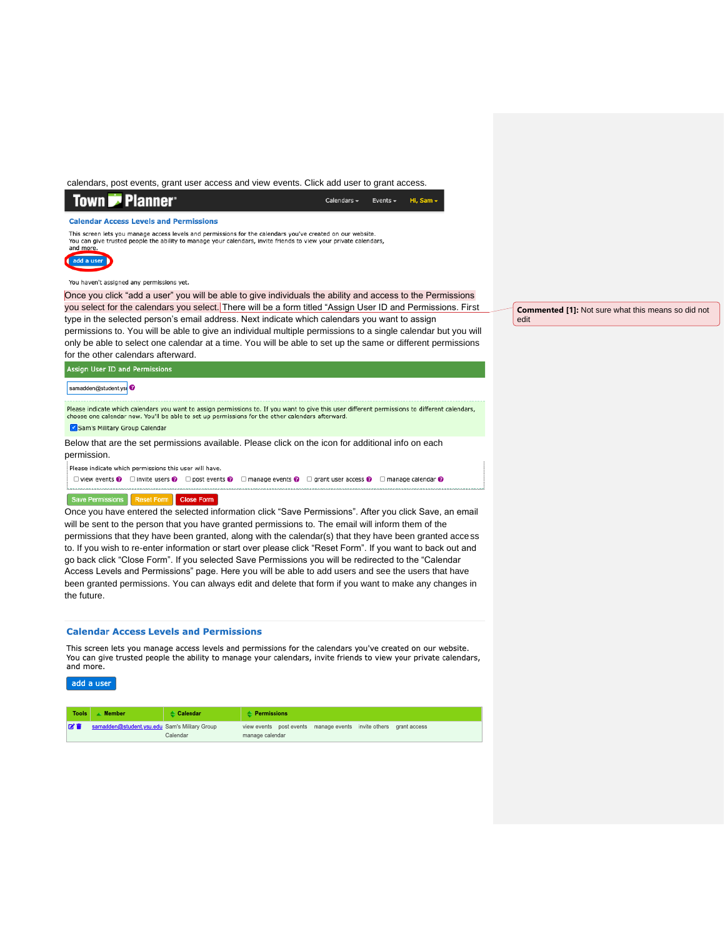calendars, post events, grant user access and view events. Click add user to grant access.

#### **Town 7 Planner**

Calendars  $\sim$ Events  $\sim$ Hi, Sam -

**Calendar Access Levels and Permissions** 

This screen lets you manage access levels and permissions for the calendars you've created on our website.<br>You can give trusted people the ability to manage your calendars, invite friends to view your private calendars,



You haven't assigned any permissions yet.

Once you click "add a user" you will be able to give individuals the ability and access to the Permissions you select for the calendars you select. There will be a form titled "Assign User ID and Permissions. First

type in the selected person's email address. Next indicate which calendars you want to assign permissions to. You will be able to give an individual multiple permissions to a single calendar but you will only be able to select one calendar at a time. You will be able to set up the same or different permissions for the other calendars afterward.

Assign User ID and Permissions

#### samadden@student.ys

Please indicate which calendars you want to assign permissions to. If you want to give this user different permissions to different calendars,<br>choose one calendar now. You'll be able to set up permissions for the other cal

Sam's Military Group Calendar

Below that are the set permissions available. Please click on the icon for additional info on each permission.

Please indicate which nermissions this user will have

 $\Box$  view events  $\odot$   $\Box$  invite users  $\odot$   $\Box$  post events  $\odot$   $\Box$  manage events  $\odot$   $\Box$  grant user access  $\odot$   $\Box$  manage calendar  $\odot$ 

## Save Permissions Reset Form Close Form

Once you have entered the selected information click "Save Permissions". After you click Save, an email will be sent to the person that you have granted permissions to. The email will inform them of the permissions that they have been granted, along with the calendar(s) that they have been granted access to. If you wish to re-enter information or start over please click "Reset Form". If you want to back out and go back click "Close Form". If you selected Save Permissions you will be redirected to the "Calendar Access Levels and Permissions" page. Here you will be able to add users and see the users that have been granted permissions. You can always edit and delete that form if you want to make any changes in the future.

### **Calendar Access Levels and Permissions**

This screen lets you manage access levels and permissions for the calendars you've created on our website. You can give trusted people the ability to manage your calendars, invite friends to view your private calendars, and more.



| <b>Tools</b> | <b>Member</b>                                 | ≜ Calendar | $\triangle$ Permissions |  |                                                     |  |              |
|--------------|-----------------------------------------------|------------|-------------------------|--|-----------------------------------------------------|--|--------------|
| <b>KT</b>    | samadden@student.ysu.edu Sam's Military Group | Calendar   | manage calendar         |  | view events post events manage events invite others |  | grant access |

**Commented [1]:** Not sure what this means so did not

edit